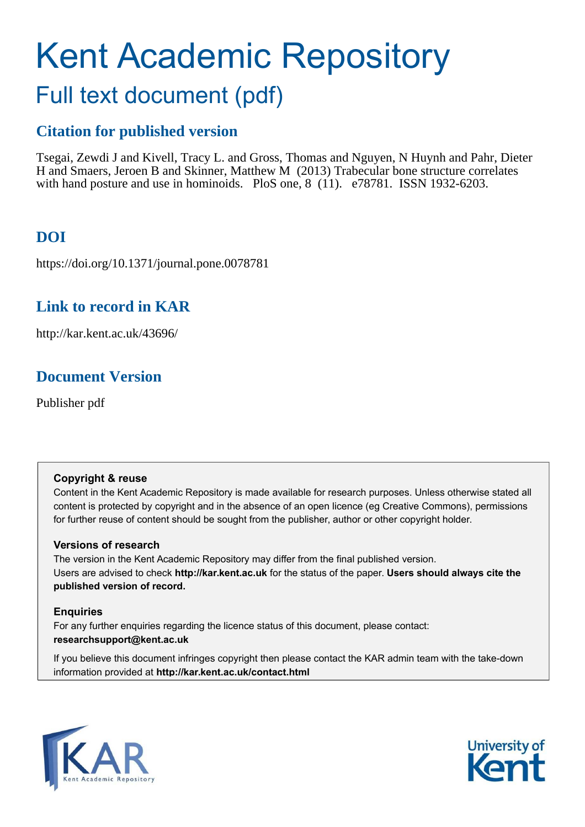# Kent Academic Repository

## Full text document (pdf)

## **Citation for published version**

Tsegai, Zewdi J and Kivell, Tracy L. and Gross, Thomas and Nguyen, N Huynh and Pahr, Dieter H and Smaers, Jeroen B and Skinner, Matthew M (2013) Trabecular bone structure correlates with hand posture and use in hominoids. PloS one, 8 (11). e78781. ISSN 1932-6203.

## **DOI**

https://doi.org/10.1371/journal.pone.0078781

## **Link to record in KAR**

http://kar.kent.ac.uk/43696/

## **Document Version**

Publisher pdf

## **Copyright & reuse**

Content in the Kent Academic Repository is made available for research purposes. Unless otherwise stated all content is protected by copyright and in the absence of an open licence (eg Creative Commons), permissions for further reuse of content should be sought from the publisher, author or other copyright holder.

## **Versions of research**

The version in the Kent Academic Repository may differ from the final published version. Users are advised to check **http://kar.kent.ac.uk** for the status of the paper. **Users should always cite the published version of record.**

## **Enquiries**

For any further enquiries regarding the licence status of this document, please contact: **researchsupport@kent.ac.uk**

If you believe this document infringes copyright then please contact the KAR admin team with the take-down information provided at **http://kar.kent.ac.uk/contact.html**



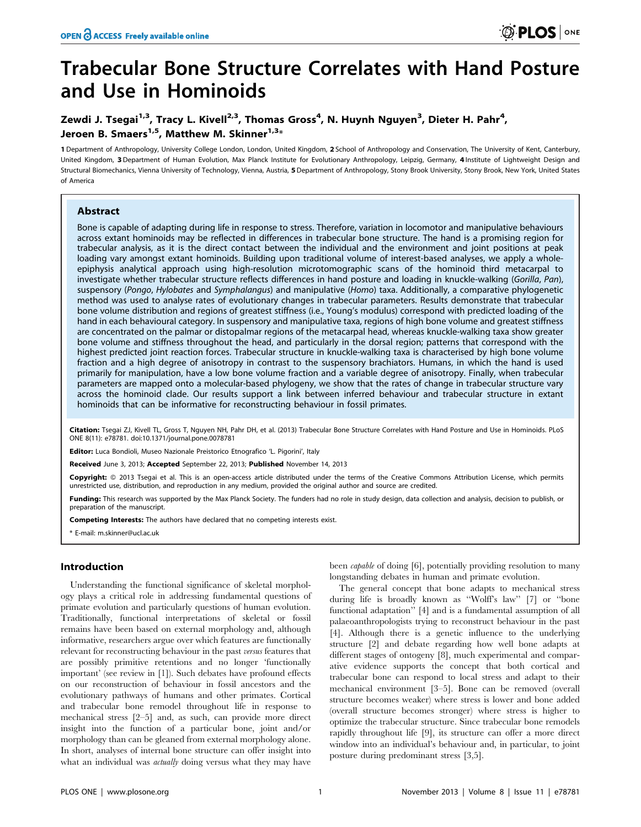## Trabecular Bone Structure Correlates with Hand Posture and Use in Hominoids

#### Zewdi J. Tsegai<sup>1,3</sup>, Tracy L. Kivell<sup>2,3</sup>, Thomas Gross<sup>4</sup>, N. Huynh Nguyen<sup>3</sup>, Dieter H. Pahr<sup>4</sup>, Jeroen B. Smaers<sup>1,5</sup>, Matthew M. Skinner<sup>1,3\*</sup>

1 Department of Anthropology, University College London, London, United Kingdom, 2 School of Anthropology and Conservation, The University of Kent, Canterbury, United Kingdom, 3 Department of Human Evolution, Max Planck Institute for Evolutionary Anthropology, Leipzig, Germany, 4 Institute of Lightweight Design and Structural Biomechanics, Vienna University of Technology, Vienna, Austria, 5Department of Anthropology, Stony Brook University, Stony Brook, New York, United States of America

#### Abstract

Bone is capable of adapting during life in response to stress. Therefore, variation in locomotor and manipulative behaviours across extant hominoids may be reflected in differences in trabecular bone structure. The hand is a promising region for trabecular analysis, as it is the direct contact between the individual and the environment and joint positions at peak loading vary amongst extant hominoids. Building upon traditional volume of interest-based analyses, we apply a wholeepiphysis analytical approach using high-resolution microtomographic scans of the hominoid third metacarpal to investigate whether trabecular structure reflects differences in hand posture and loading in knuckle-walking (Gorilla, Pan), suspensory (Pongo, Hylobates and Symphalangus) and manipulative (Homo) taxa. Additionally, a comparative phylogenetic method was used to analyse rates of evolutionary changes in trabecular parameters. Results demonstrate that trabecular bone volume distribution and regions of greatest stiffness (i.e., Young's modulus) correspond with predicted loading of the hand in each behavioural category. In suspensory and manipulative taxa, regions of high bone volume and greatest stiffness are concentrated on the palmar or distopalmar regions of the metacarpal head, whereas knuckle-walking taxa show greater bone volume and stiffness throughout the head, and particularly in the dorsal region; patterns that correspond with the highest predicted joint reaction forces. Trabecular structure in knuckle-walking taxa is characterised by high bone volume fraction and a high degree of anisotropy in contrast to the suspensory brachiators. Humans, in which the hand is used primarily for manipulation, have a low bone volume fraction and a variable degree of anisotropy. Finally, when trabecular parameters are mapped onto a molecular-based phylogeny, we show that the rates of change in trabecular structure vary across the hominoid clade. Our results support a link between inferred behaviour and trabecular structure in extant hominoids that can be informative for reconstructing behaviour in fossil primates.

Citation: Tsegai ZJ, Kivell TL, Gross T, Nguyen NH, Pahr DH, et al. (2013) Trabecular Bone Structure Correlates with Hand Posture and Use in Hominoids. PLoS ONE 8(11): e78781. doi:10.1371/journal.pone.0078781

Editor: Luca Bondioli, Museo Nazionale Preistorico Etnografico 'L. Pigorini', Italy

Received June 3, 2013; Accepted September 22, 2013; Published November 14, 2013

Copyright: @ 2013 Tsegai et al. This is an open-access article distributed under the terms of the Creative Commons Attribution License, which permits unrestricted use, distribution, and reproduction in any medium, provided the original author and source are credited.

Funding: This research was supported by the Max Planck Society. The funders had no role in study design, data collection and analysis, decision to publish, or preparation of the manuscript.

Competing Interests: The authors have declared that no competing interests exist.

\* E-mail: m.skinner@ucl.ac.uk

#### Introduction

Understanding the functional significance of skeletal morphology plays a critical role in addressing fundamental questions of primate evolution and particularly questions of human evolution. Traditionally, functional interpretations of skeletal or fossil remains have been based on external morphology and, although informative, researchers argue over which features are functionally relevant for reconstructing behaviour in the past versus features that are possibly primitive retentions and no longer 'functionally important' (see review in [1]). Such debates have profound effects on our reconstruction of behaviour in fossil ancestors and the evolutionary pathways of humans and other primates. Cortical and trabecular bone remodel throughout life in response to mechanical stress [2–5] and, as such, can provide more direct insight into the function of a particular bone, joint and/or morphology than can be gleaned from external morphology alone. In short, analyses of internal bone structure can offer insight into what an individual was *actually* doing versus what they may have

been capable of doing [6], potentially providing resolution to many longstanding debates in human and primate evolution.

The general concept that bone adapts to mechanical stress during life is broadly known as ''Wolff's law'' [7] or ''bone functional adaptation'' [4] and is a fundamental assumption of all palaeoanthropologists trying to reconstruct behaviour in the past [4]. Although there is a genetic influence to the underlying structure [2] and debate regarding how well bone adapts at different stages of ontogeny [8], much experimental and comparative evidence supports the concept that both cortical and trabecular bone can respond to local stress and adapt to their mechanical environment [3–5]. Bone can be removed (overall structure becomes weaker) where stress is lower and bone added (overall structure becomes stronger) where stress is higher to optimize the trabecular structure. Since trabecular bone remodels rapidly throughout life [9], its structure can offer a more direct window into an individual's behaviour and, in particular, to joint posture during predominant stress [3,5].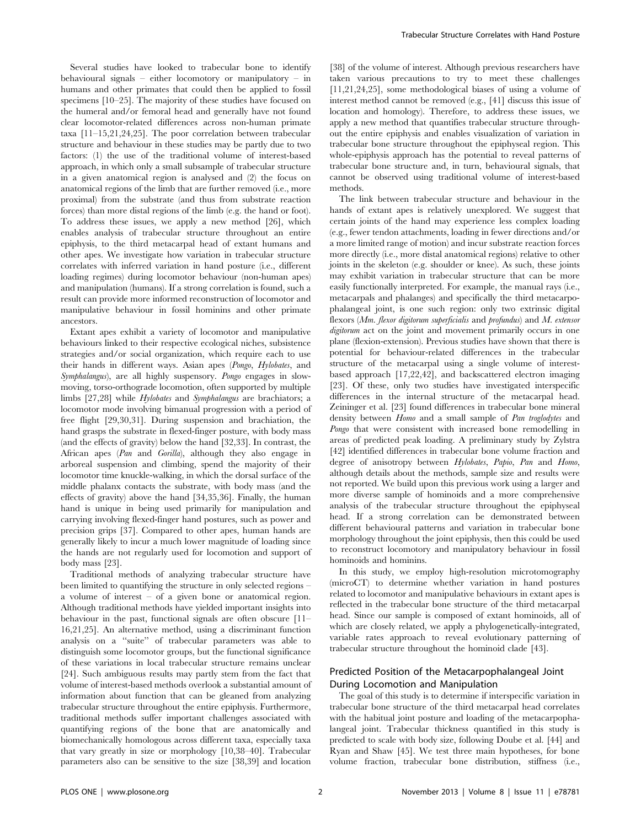Several studies have looked to trabecular bone to identify behavioural signals – either locomotory or manipulatory – in humans and other primates that could then be applied to fossil specimens [10–25]. The majority of these studies have focused on the humeral and/or femoral head and generally have not found clear locomotor-related differences across non-human primate taxa [11–15,21,24,25]. The poor correlation between trabecular structure and behaviour in these studies may be partly due to two factors: (1) the use of the traditional volume of interest-based approach, in which only a small subsample of trabecular structure in a given anatomical region is analysed and (2) the focus on anatomical regions of the limb that are further removed (i.e., more proximal) from the substrate (and thus from substrate reaction forces) than more distal regions of the limb (e.g. the hand or foot). To address these issues, we apply a new method [26], which enables analysis of trabecular structure throughout an entire epiphysis, to the third metacarpal head of extant humans and other apes. We investigate how variation in trabecular structure correlates with inferred variation in hand posture (i.e., different loading regimes) during locomotor behaviour (non-human apes) and manipulation (humans). If a strong correlation is found, such a result can provide more informed reconstruction of locomotor and manipulative behaviour in fossil hominins and other primate ancestors.

Extant apes exhibit a variety of locomotor and manipulative behaviours linked to their respective ecological niches, subsistence strategies and/or social organization, which require each to use their hands in different ways. Asian apes (Pongo, Hylobates, and Symphalangus), are all highly suspensory. Pongo engages in slowmoving, torso-orthograde locomotion, often supported by multiple limbs [27,28] while Hylobates and Symphalangus are brachiators; a locomotor mode involving bimanual progression with a period of free flight [29,30,31]. During suspension and brachiation, the hand grasps the substrate in flexed-finger posture, with body mass (and the effects of gravity) below the hand [32,33]. In contrast, the African apes (Pan and Gorilla), although they also engage in arboreal suspension and climbing, spend the majority of their locomotor time knuckle-walking, in which the dorsal surface of the middle phalanx contacts the substrate, with body mass (and the effects of gravity) above the hand [34,35,36]. Finally, the human hand is unique in being used primarily for manipulation and carrying involving flexed-finger hand postures, such as power and precision grips [37]. Compared to other apes, human hands are generally likely to incur a much lower magnitude of loading since the hands are not regularly used for locomotion and support of body mass [23].

Traditional methods of analyzing trabecular structure have been limited to quantifying the structure in only selected regions – a volume of interest – of a given bone or anatomical region. Although traditional methods have yielded important insights into behaviour in the past, functional signals are often obscure [11– 16,21,25]. An alternative method, using a discriminant function analysis on a ''suite'' of trabecular parameters was able to distinguish some locomotor groups, but the functional significance of these variations in local trabecular structure remains unclear [24]. Such ambiguous results may partly stem from the fact that volume of interest-based methods overlook a substantial amount of information about function that can be gleaned from analyzing trabecular structure throughout the entire epiphysis. Furthermore, traditional methods suffer important challenges associated with quantifying regions of the bone that are anatomically and biomechanically homologous across different taxa, especially taxa that vary greatly in size or morphology [10,38–40]. Trabecular parameters also can be sensitive to the size [38,39] and location

[38] of the volume of interest. Although previous researchers have taken various precautions to try to meet these challenges [11,21,24,25], some methodological biases of using a volume of interest method cannot be removed (e.g., [41] discuss this issue of location and homology). Therefore, to address these issues, we apply a new method that quantifies trabecular structure throughout the entire epiphysis and enables visualization of variation in trabecular bone structure throughout the epiphyseal region. This whole-epiphysis approach has the potential to reveal patterns of trabecular bone structure and, in turn, behavioural signals, that cannot be observed using traditional volume of interest-based methods.

The link between trabecular structure and behaviour in the hands of extant apes is relatively unexplored. We suggest that certain joints of the hand may experience less complex loading (e.g., fewer tendon attachments, loading in fewer directions and/or a more limited range of motion) and incur substrate reaction forces more directly (i.e., more distal anatomical regions) relative to other joints in the skeleton (e.g. shoulder or knee). As such, these joints may exhibit variation in trabecular structure that can be more easily functionally interpreted. For example, the manual rays (i.e., metacarpals and phalanges) and specifically the third metacarpophalangeal joint, is one such region: only two extrinsic digital flexors (Mm. flexor digitorum superficialis and profundus) and M. extensor digitorum act on the joint and movement primarily occurs in one plane (flexion-extension). Previous studies have shown that there is potential for behaviour-related differences in the trabecular structure of the metacarpal using a single volume of interestbased approach [17,22,42], and backscattered electron imaging [23]. Of these, only two studies have investigated interspecific differences in the internal structure of the metacarpal head. Zeininger et al. [23] found differences in trabecular bone mineral density between *Homo* and a small sample of *Pan troglodytes* and Pongo that were consistent with increased bone remodelling in areas of predicted peak loading. A preliminary study by Zylstra [42] identified differences in trabecular bone volume fraction and degree of anisotropy between Hylobates, Papio, Pan and Homo, although details about the methods, sample size and results were not reported. We build upon this previous work using a larger and more diverse sample of hominoids and a more comprehensive analysis of the trabecular structure throughout the epiphyseal head. If a strong correlation can be demonstrated between different behavioural patterns and variation in trabecular bone morphology throughout the joint epiphysis, then this could be used to reconstruct locomotory and manipulatory behaviour in fossil hominoids and hominins.

In this study, we employ high-resolution microtomography (microCT) to determine whether variation in hand postures related to locomotor and manipulative behaviours in extant apes is reflected in the trabecular bone structure of the third metacarpal head. Since our sample is composed of extant hominoids, all of which are closely related, we apply a phylogenetically-integrated, variable rates approach to reveal evolutionary patterning of trabecular structure throughout the hominoid clade [43].

#### Predicted Position of the Metacarpophalangeal Joint During Locomotion and Manipulation

The goal of this study is to determine if interspecific variation in trabecular bone structure of the third metacarpal head correlates with the habitual joint posture and loading of the metacarpophalangeal joint. Trabecular thickness quantified in this study is predicted to scale with body size, following Doube et al. [44] and Ryan and Shaw [45]. We test three main hypotheses, for bone volume fraction, trabecular bone distribution, stiffness (i.e.,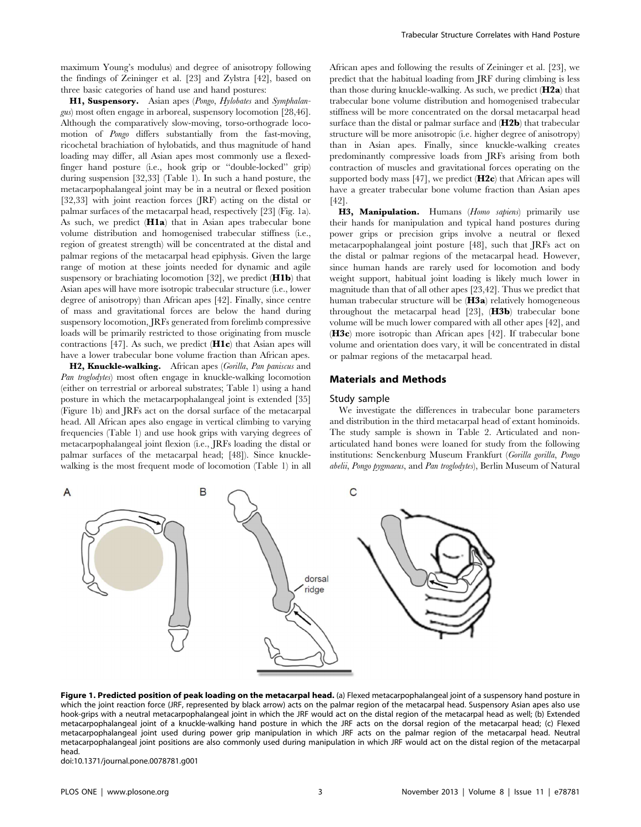maximum Young's modulus) and degree of anisotropy following the findings of Zeininger et al. [23] and Zylstra [42], based on three basic categories of hand use and hand postures:

H1, Suspensory. Asian apes (Pongo, Hylobates and Symphalangus) most often engage in arboreal, suspensory locomotion [28,46]. Although the comparatively slow-moving, torso-orthograde locomotion of Pongo differs substantially from the fast-moving, ricochetal brachiation of hylobatids, and thus magnitude of hand loading may differ, all Asian apes most commonly use a flexedfinger hand posture (i.e., hook grip or ''double-locked'' grip) during suspension [32,33] (Table 1). In such a hand posture, the metacarpophalangeal joint may be in a neutral or flexed position [32,33] with joint reaction forces (JRF) acting on the distal or palmar surfaces of the metacarpal head, respectively [23] (Fig. 1a). As such, we predict (H1a) that in Asian apes trabecular bone volume distribution and homogenised trabecular stiffness (i.e., region of greatest strength) will be concentrated at the distal and palmar regions of the metacarpal head epiphysis. Given the large range of motion at these joints needed for dynamic and agile suspensory or brachiating locomotion [32], we predict  $(H1b)$  that Asian apes will have more isotropic trabecular structure (i.e., lower degree of anisotropy) than African apes [42]. Finally, since centre of mass and gravitational forces are below the hand during suspensory locomotion, JRFs generated from forelimb compressive loads will be primarily restricted to those originating from muscle contractions [47]. As such, we predict  $(H1c)$  that Asian apes will have a lower trabecular bone volume fraction than African apes.

H2, Knuckle-walking. African apes (Gorilla, Pan paniscus and Pan troglodytes) most often engage in knuckle-walking locomotion (either on terrestrial or arboreal substrates; Table 1) using a hand posture in which the metacarpophalangeal joint is extended [35] (Figure 1b) and JRFs act on the dorsal surface of the metacarpal head. All African apes also engage in vertical climbing to varying frequencies (Table 1) and use hook grips with varying degrees of metacarpophalangeal joint flexion (i.e., JRFs loading the distal or palmar surfaces of the metacarpal head; [48]). Since knucklewalking is the most frequent mode of locomotion (Table 1) in all African apes and following the results of Zeininger et al. [23], we predict that the habitual loading from JRF during climbing is less than those during knuckle-walking. As such, we predict (H2a) that trabecular bone volume distribution and homogenised trabecular stiffness will be more concentrated on the dorsal metacarpal head surface than the distal or palmar surface and (H2b) that trabecular structure will be more anisotropic (i.e. higher degree of anisotropy) than in Asian apes. Finally, since knuckle-walking creates predominantly compressive loads from JRFs arising from both contraction of muscles and gravitational forces operating on the supported body mass  $[47]$ , we predict ( $\textbf{H2c}$ ) that African apes will have a greater trabecular bone volume fraction than Asian apes [42].

H3, Manipulation. Humans (Homo sapiens) primarily use their hands for manipulation and typical hand postures during power grips or precision grips involve a neutral or flexed metacarpophalangeal joint posture [48], such that JRFs act on the distal or palmar regions of the metacarpal head. However, since human hands are rarely used for locomotion and body weight support, habitual joint loading is likely much lower in magnitude than that of all other apes [23,42]. Thus we predict that human trabecular structure will be (**H3a**) relatively homogeneous throughout the metacarpal head  $[23]$ ,  $(H3b)$  trabecular bone volume will be much lower compared with all other apes [42], and (H3c) more isotropic than African apes [42]. If trabecular bone volume and orientation does vary, it will be concentrated in distal or palmar regions of the metacarpal head.

#### Materials and Methods

#### Study sample

We investigate the differences in trabecular bone parameters and distribution in the third metacarpal head of extant hominoids. The study sample is shown in Table 2. Articulated and nonarticulated hand bones were loaned for study from the following institutions: Senckenburg Museum Frankfurt (Gorilla gorilla, Pongo abelii, Pongo pygmaeus, and Pan troglodytes), Berlin Museum of Natural



Figure 1. Predicted position of peak loading on the metacarpal head. (a) Flexed metacarpophalangeal joint of a suspensory hand posture in which the joint reaction force (JRF, represented by black arrow) acts on the palmar region of the metacarpal head. Suspensory Asian apes also use hook-grips with a neutral metacarpophalangeal joint in which the JRF would act on the distal region of the metacarpal head as well; (b) Extended metacarpophalangeal joint of a knuckle-walking hand posture in which the JRF acts on the dorsal region of the metacarpal head; (c) Flexed metacarpophalangeal joint used during power grip manipulation in which JRF acts on the palmar region of the metacarpal head. Neutral metacarpophalangeal joint positions are also commonly used during manipulation in which JRF would act on the distal region of the metacarpal head.

doi:10.1371/journal.pone.0078781.g001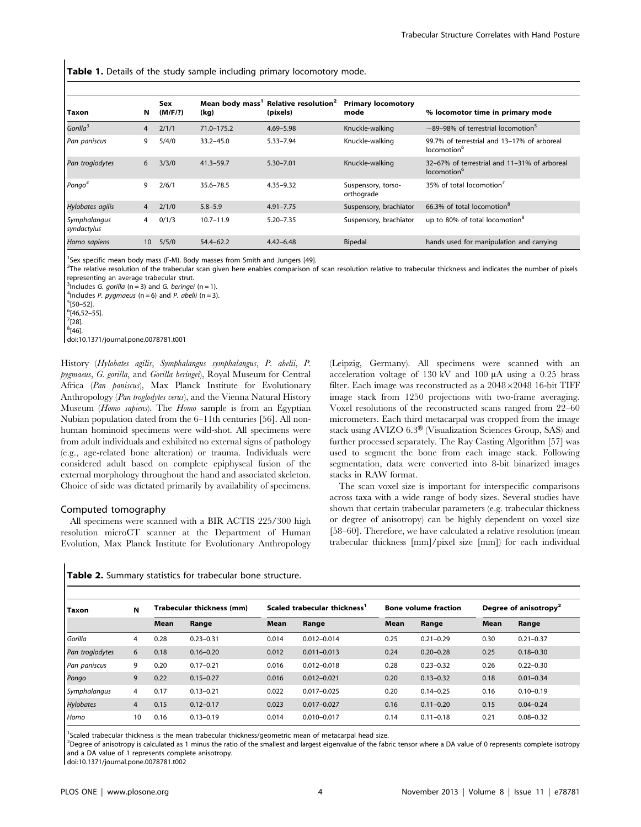Table 1. Details of the study sample including primary locomotory mode.

| l Taxon                     | N               | Sex<br>(M/F/?) | (kg)          | Mean body mass <sup>1</sup> Relative resolution <sup>2</sup><br>(pixels) | <b>Primary locomotory</b><br>mode | % locomotor time in primary mode                                        |
|-----------------------------|-----------------|----------------|---------------|--------------------------------------------------------------------------|-----------------------------------|-------------------------------------------------------------------------|
| Gorilla <sup>3</sup>        | 4               | 2/1/1          | 71.0-175.2    | $4.69 - 5.98$                                                            | Knuckle-walking                   | $\sim$ 89–98% of terrestrial locomotion <sup>5</sup>                    |
| Pan paniscus                | 9               | 5/4/0          | $33.2 - 45.0$ | $5.33 - 7.94$                                                            | Knuckle-walking                   | 99.7% of terrestrial and 13-17% of arboreal<br>locomotion <sup>6</sup>  |
| Pan troglodytes             | 6               | 3/3/0          | $41.3 - 59.7$ | $5.30 - 7.01$                                                            | Knuckle-walking                   | 32-67% of terrestrial and 11-31% of arboreal<br>locomotion <sup>6</sup> |
| Pongo <sup>4</sup>          | 9               | 2/6/1          | $35.6 - 78.5$ | $4.35 - 9.32$                                                            | Suspensory, torso-<br>orthograde  | 35% of total locomotion <sup>7</sup>                                    |
| Hylobates agilis            | $\overline{4}$  | 2/1/0          | $5.8 - 5.9$   | $4.91 - 7.75$                                                            | Suspensory, brachiator            | 66.3% of total locomotion <sup>8</sup>                                  |
| Symphalangus<br>syndactylus | 4               | 0/1/3          | $10.7 - 11.9$ | $5.20 - 7.35$                                                            | Suspensory, brachiator            | up to 80% of total locomotion <sup>8</sup>                              |
| Homo sapiens                | 10 <sup>°</sup> | 5/5/0          | $54.4 - 62.2$ | $4.42 - 6.48$                                                            | Bipedal                           | hands used for manipulation and carrying                                |

<sup>1</sup>Sex specific mean body mass (F-M). Body masses from Smith and Jungers [49].

<sup>2</sup>The relative resolution of the trabecular scan given here enables comparison of scan resolution relative to trabecular thickness and indicates the number of pixels representing an average trabecular strut.

<sup>3</sup>Includes G. gorilla (n = 3) and G. beringei (n = 1).

<sup>4</sup>Includes P. pygmaeus (n = 6) and P. abelii (n = 3).

5 [50–52].

6 [46,52–55].

 $7$ [28].

8 [46].

doi:10.1371/journal.pone.0078781.t001

History (Hylobates agilis, Symphalangus symphalangus, P. abelii, P. pygmaeus, G. gorilla, and Gorilla beringei), Royal Museum for Central Africa (Pan paniscus), Max Planck Institute for Evolutionary Anthropology (Pan troglodytes verus), and the Vienna Natural History Museum (Homo sapiens). The Homo sample is from an Egyptian Nubian population dated from the 6–11th centuries [56]. All nonhuman hominoid specimens were wild-shot. All specimens were from adult individuals and exhibited no external signs of pathology (e.g., age-related bone alteration) or trauma. Individuals were considered adult based on complete epiphyseal fusion of the external morphology throughout the hand and associated skeleton. Choice of side was dictated primarily by availability of specimens.

#### Computed tomography

All specimens were scanned with a BIR ACTIS 225/300 high resolution microCT scanner at the Department of Human Evolution, Max Planck Institute for Evolutionary Anthropology

(Leipzig, Germany). All specimens were scanned with an acceleration voltage of 130 kV and 100  $\mu$ A using a 0.25 brass filter. Each image was reconstructed as a  $2048\times2048$  16-bit TIFF image stack from 1250 projections with two-frame averaging. Voxel resolutions of the reconstructed scans ranged from 22–60 micrometers. Each third metacarpal was cropped from the image stack using AVIZO 6.3<sup>®</sup> (Visualization Sciences Group, SAS) and further processed separately. The Ray Casting Algorithm [57] was used to segment the bone from each image stack. Following segmentation, data were converted into 8-bit binarized images stacks in RAW format.

The scan voxel size is important for interspecific comparisons across taxa with a wide range of body sizes. Several studies have shown that certain trabecular parameters (e.g. trabecular thickness or degree of anisotropy) can be highly dependent on voxel size [58–60]. Therefore, we have calculated a relative resolution (mean trabecular thickness [mm]/pixel size [mm]) for each individual

| <b>Taxon</b>     | N              | Trabecular thickness (mm) |               | Scaled trabecular thickness <sup>1</sup> |                 | <b>Bone volume fraction</b> |               | Degree of anisotropy <sup>2</sup> |               |
|------------------|----------------|---------------------------|---------------|------------------------------------------|-----------------|-----------------------------|---------------|-----------------------------------|---------------|
|                  |                | Mean                      | Range         | Mean                                     | Range           | Mean                        | Range         | Mean                              | Range         |
| Gorilla          | 4              | 0.28                      | $0.23 - 0.31$ | 0.014                                    | $0.012 - 0.014$ | 0.25                        | $0.21 - 0.29$ | 0.30                              | $0.21 - 0.37$ |
| Pan troglodytes  | 6              | 0.18                      | $0.16 - 0.20$ | 0.012                                    | $0.011 - 0.013$ | 0.24                        | $0.20 - 0.28$ | 0.25                              | $0.18 - 0.30$ |
| Pan paniscus     | 9              | 0.20                      | $0.17 - 0.21$ | 0.016                                    | $0.012 - 0.018$ | 0.28                        | $0.23 - 0.32$ | 0.26                              | $0.22 - 0.30$ |
| Pongo            | 9              | 0.22                      | $0.15 - 0.27$ | 0.016                                    | $0.012 - 0.021$ | 0.20                        | $0.13 - 0.32$ | 0.18                              | $0.01 - 0.34$ |
| Symphalangus     | 4              | 0.17                      | $0.13 - 0.21$ | 0.022                                    | $0.017 - 0.025$ | 0.20                        | $0.14 - 0.25$ | 0.16                              | $0.10 - 0.19$ |
| <b>Hylobates</b> | $\overline{4}$ | 0.15                      | $0.12 - 0.17$ | 0.023                                    | $0.017 - 0.027$ | 0.16                        | $0.11 - 0.20$ | 0.15                              | $0.04 - 0.24$ |
| Homo             | 10             | 0.16                      | $0.13 - 0.19$ | 0.014                                    | $0.010 - 0.017$ | 0.14                        | $0.11 - 0.18$ | 0.21                              | $0.08 - 0.32$ |

Table 2. Summary statistics for trabecular bone structure.

<sup>1</sup>Scaled trabecular thickness is the mean trabecular thickness/geometric mean of metacarpal head size.

<sup>2</sup>Degree of anisotropy is calculated as 1 minus the ratio of the smallest and largest eigenvalue of the fabric tensor where a DA value of 0 represents complete isotropy and a DA value of 1 represents complete anisotropy.

doi:10.1371/journal.pone.0078781.t002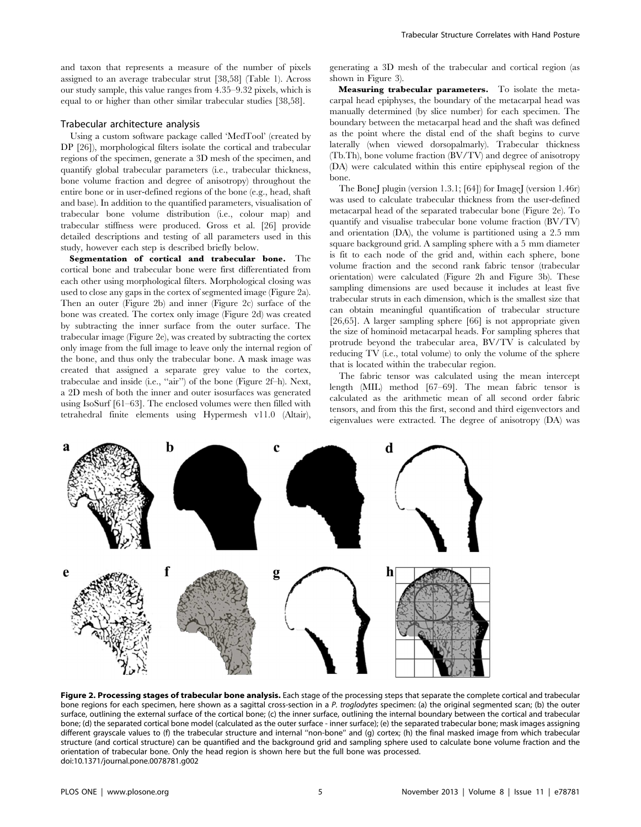and taxon that represents a measure of the number of pixels assigned to an average trabecular strut [38,58] (Table 1). Across our study sample, this value ranges from 4.35–9.32 pixels, which is equal to or higher than other similar trabecular studies [38,58].

#### Trabecular architecture analysis

Using a custom software package called 'MedTool' (created by DP [26]), morphological filters isolate the cortical and trabecular regions of the specimen, generate a 3D mesh of the specimen, and quantify global trabecular parameters (i.e., trabecular thickness, bone volume fraction and degree of anisotropy) throughout the entire bone or in user-defined regions of the bone (e.g., head, shaft and base). In addition to the quantified parameters, visualisation of trabecular bone volume distribution (i.e., colour map) and trabecular stiffness were produced. Gross et al. [26] provide detailed descriptions and testing of all parameters used in this study, however each step is described briefly below.

Segmentation of cortical and trabecular bone. The cortical bone and trabecular bone were first differentiated from each other using morphological filters. Morphological closing was used to close any gaps in the cortex of segmented image (Figure 2a). Then an outer (Figure 2b) and inner (Figure 2c) surface of the bone was created. The cortex only image (Figure 2d) was created by subtracting the inner surface from the outer surface. The trabecular image (Figure 2e), was created by subtracting the cortex only image from the full image to leave only the internal region of the bone, and thus only the trabecular bone. A mask image was created that assigned a separate grey value to the cortex, trabeculae and inside (i.e., "air") of the bone (Figure 2f-h). Next, a 2D mesh of both the inner and outer isosurfaces was generated using IsoSurf [61–63]. The enclosed volumes were then filled with tetrahedral finite elements using Hypermesh v11.0 (Altair),

generating a 3D mesh of the trabecular and cortical region (as shown in Figure 3).

Measuring trabecular parameters. To isolate the metacarpal head epiphyses, the boundary of the metacarpal head was manually determined (by slice number) for each specimen. The boundary between the metacarpal head and the shaft was defined as the point where the distal end of the shaft begins to curve laterally (when viewed dorsopalmarly). Trabecular thickness (Tb.Th), bone volume fraction (BV/TV) and degree of anisotropy (DA) were calculated within this entire epiphyseal region of the bone.

The BoneJ plugin (version 1.3.1; [64]) for ImageJ (version 1.46r) was used to calculate trabecular thickness from the user-defined metacarpal head of the separated trabecular bone (Figure 2e). To quantify and visualise trabecular bone volume fraction (BV/TV) and orientation (DA), the volume is partitioned using a 2.5 mm square background grid. A sampling sphere with a 5 mm diameter is fit to each node of the grid and, within each sphere, bone volume fraction and the second rank fabric tensor (trabecular orientation) were calculated (Figure 2h and Figure 3b). These sampling dimensions are used because it includes at least five trabecular struts in each dimension, which is the smallest size that can obtain meaningful quantification of trabecular structure [26,65]. A larger sampling sphere [66] is not appropriate given the size of hominoid metacarpal heads. For sampling spheres that protrude beyond the trabecular area, BV/TV is calculated by reducing TV (i.e., total volume) to only the volume of the sphere that is located within the trabecular region.

The fabric tensor was calculated using the mean intercept length (MIL) method [67–69]. The mean fabric tensor is calculated as the arithmetic mean of all second order fabric tensors, and from this the first, second and third eigenvectors and eigenvalues were extracted. The degree of anisotropy (DA) was



Figure 2. Processing stages of trabecular bone analysis. Each stage of the processing steps that separate the complete cortical and trabecular bone regions for each specimen, here shown as a sagittal cross-section in a P. troglodytes specimen: (a) the original segmented scan; (b) the outer surface, outlining the external surface of the cortical bone; (c) the inner surface, outlining the internal boundary between the cortical and trabecular bone; (d) the separated cortical bone model (calculated as the outer surface - inner surface); (e) the separated trabecular bone; mask images assigning different grayscale values to (f) the trabecular structure and internal ''non-bone'' and (g) cortex; (h) the final masked image from which trabecular structure (and cortical structure) can be quantified and the background grid and sampling sphere used to calculate bone volume fraction and the orientation of trabecular bone. Only the head region is shown here but the full bone was processed. doi:10.1371/journal.pone.0078781.g002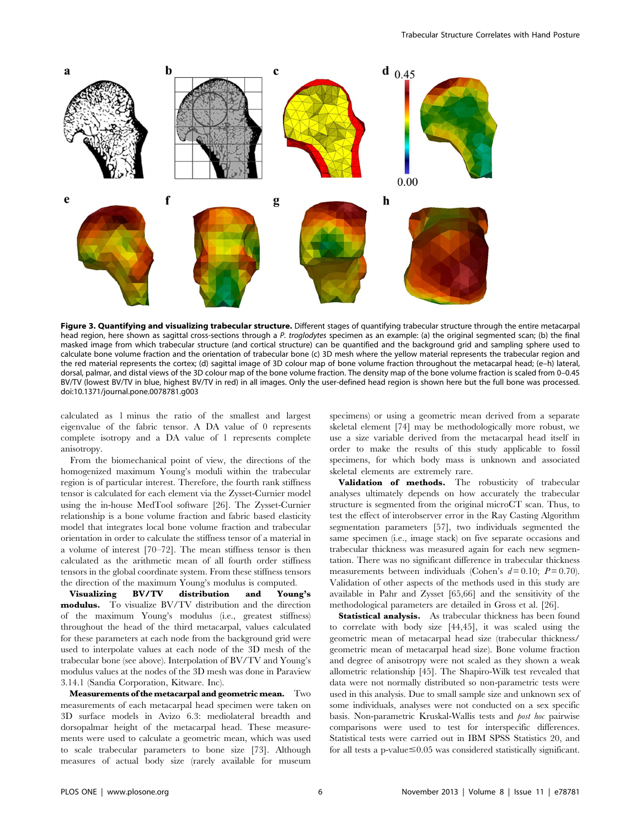

Figure 3. Quantifying and visualizing trabecular structure. Different stages of quantifying trabecular structure through the entire metacarpal head region, here shown as sagittal cross-sections through a P. troglodytes specimen as an example: (a) the original segmented scan; (b) the final masked image from which trabecular structure (and cortical structure) can be quantified and the background grid and sampling sphere used to calculate bone volume fraction and the orientation of trabecular bone (c) 3D mesh where the yellow material represents the trabecular region and the red material represents the cortex; (d) sagittal image of 3D colour map of bone volume fraction throughout the metacarpal head; (e–h) lateral, dorsal, palmar, and distal views of the 3D colour map of the bone volume fraction. The density map of the bone volume fraction is scaled from 0–0.45 BV/TV (lowest BV/TV in blue, highest BV/TV in red) in all images. Only the user-defined head region is shown here but the full bone was processed. doi:10.1371/journal.pone.0078781.g003

calculated as 1 minus the ratio of the smallest and largest eigenvalue of the fabric tensor. A DA value of 0 represents complete isotropy and a DA value of 1 represents complete anisotropy.

From the biomechanical point of view, the directions of the homogenized maximum Young's moduli within the trabecular region is of particular interest. Therefore, the fourth rank stiffness tensor is calculated for each element via the Zysset-Curnier model using the in-house MedTool software [26]. The Zysset-Curnier relationship is a bone volume fraction and fabric based elasticity model that integrates local bone volume fraction and trabecular orientation in order to calculate the stiffness tensor of a material in a volume of interest [70–72]. The mean stiffness tensor is then calculated as the arithmetic mean of all fourth order stiffness tensors in the global coordinate system. From these stiffness tensors

the direction of the maximum Young's modulus is computed.<br>Visualizing BV/TV distribution and Youn Visualizing BV/TV distribution and Young's modulus. To visualize BV/TV distribution and the direction of the maximum Young's modulus (i.e., greatest stiffness) throughout the head of the third metacarpal, values calculated for these parameters at each node from the background grid were used to interpolate values at each node of the 3D mesh of the trabecular bone (see above). Interpolation of BV/TV and Young's modulus values at the nodes of the 3D mesh was done in Paraview 3.14.1 (Sandia Corporation, Kitware. Inc).

Measurements of the metacarpal and geometric mean. Two measurements of each metacarpal head specimen were taken on 3D surface models in Avizo 6.3: mediolateral breadth and dorsopalmar height of the metacarpal head. These measurements were used to calculate a geometric mean, which was used to scale trabecular parameters to bone size [73]. Although measures of actual body size (rarely available for museum specimens) or using a geometric mean derived from a separate skeletal element [74] may be methodologically more robust, we use a size variable derived from the metacarpal head itself in order to make the results of this study applicable to fossil specimens, for which body mass is unknown and associated skeletal elements are extremely rare.

Validation of methods. The robusticity of trabecular analyses ultimately depends on how accurately the trabecular structure is segmented from the original microCT scan. Thus, to test the effect of interobserver error in the Ray Casting Algorithm segmentation parameters [57], two individuals segmented the same specimen (i.e., image stack) on five separate occasions and trabecular thickness was measured again for each new segmentation. There was no significant difference in trabecular thickness measurements between individuals (Cohen's  $d=0.10$ ;  $P=0.70$ ). Validation of other aspects of the methods used in this study are available in Pahr and Zysset [65,66] and the sensitivity of the methodological parameters are detailed in Gross et al. [26].

Statistical analysis. As trabecular thickness has been found to correlate with body size [44,45], it was scaled using the geometric mean of metacarpal head size (trabecular thickness/ geometric mean of metacarpal head size). Bone volume fraction and degree of anisotropy were not scaled as they shown a weak allometric relationship [45]. The Shapiro-Wilk test revealed that data were not normally distributed so non-parametric tests were used in this analysis. Due to small sample size and unknown sex of some individuals, analyses were not conducted on a sex specific basis. Non-parametric Kruskal-Wallis tests and post hoc pairwise comparisons were used to test for interspecific differences. Statistical tests were carried out in IBM SPSS Statistics 20, and for all tests a p-value  $\leq 0.05$  was considered statistically significant.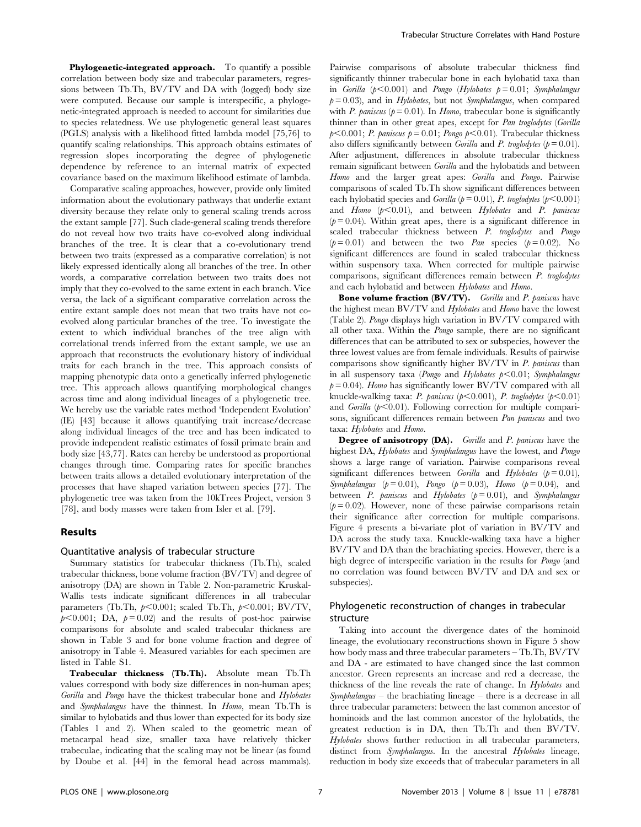Phylogenetic-integrated approach. To quantify a possible correlation between body size and trabecular parameters, regressions between Tb.Th, BV/TV and DA with (logged) body size were computed. Because our sample is interspecific, a phylogenetic-integrated approach is needed to account for similarities due to species relatedness. We use phylogenetic general least squares (PGLS) analysis with a likelihood fitted lambda model [75,76] to quantify scaling relationships. This approach obtains estimates of regression slopes incorporating the degree of phylogenetic dependence by reference to an internal matrix of expected covariance based on the maximum likelihood estimate of lambda.

Comparative scaling approaches, however, provide only limited information about the evolutionary pathways that underlie extant diversity because they relate only to general scaling trends across the extant sample [77]. Such clade-general scaling trends therefore do not reveal how two traits have co-evolved along individual branches of the tree. It is clear that a co-evolutionary trend between two traits (expressed as a comparative correlation) is not likely expressed identically along all branches of the tree. In other words, a comparative correlation between two traits does not imply that they co-evolved to the same extent in each branch. Vice versa, the lack of a significant comparative correlation across the entire extant sample does not mean that two traits have not coevolved along particular branches of the tree. To investigate the extent to which individual branches of the tree align with correlational trends inferred from the extant sample, we use an approach that reconstructs the evolutionary history of individual traits for each branch in the tree. This approach consists of mapping phenotypic data onto a genetically inferred phylogenetic tree. This approach allows quantifying morphological changes across time and along individual lineages of a phylogenetic tree. We hereby use the variable rates method 'Independent Evolution' (IE) [43] because it allows quantifying trait increase/decrease along individual lineages of the tree and has been indicated to provide independent realistic estimates of fossil primate brain and body size [43,77]. Rates can hereby be understood as proportional changes through time. Comparing rates for specific branches between traits allows a detailed evolutionary interpretation of the processes that have shaped variation between species [77]. The phylogenetic tree was taken from the 10kTrees Project, version 3 [78], and body masses were taken from Isler et al. [79].

#### Results

#### Quantitative analysis of trabecular structure

Summary statistics for trabecular thickness (Tb.Th), scaled trabecular thickness, bone volume fraction (BV/TV) and degree of anisotropy (DA) are shown in Table 2. Non-parametric Kruskal-Wallis tests indicate significant differences in all trabecular parameters (Tb.Th,  $p<0.001$ ; scaled Tb.Th,  $p<0.001$ ; BV/TV,  $p<0.001$ ; DA,  $p=0.02$ ) and the results of post-hoc pairwise comparisons for absolute and scaled trabecular thickness are shown in Table 3 and for bone volume fraction and degree of anisotropy in Table 4. Measured variables for each specimen are listed in Table S1.

Trabecular thickness (Tb.Th). Absolute mean Tb.Th values correspond with body size differences in non-human apes; Gorilla and Pongo have the thickest trabecular bone and Hylobates and Symphalangus have the thinnest. In Homo, mean Tb.Th is similar to hylobatids and thus lower than expected for its body size (Tables 1 and 2). When scaled to the geometric mean of metacarpal head size, smaller taxa have relatively thicker trabeculae, indicating that the scaling may not be linear (as found by Doube et al. [44] in the femoral head across mammals).

Pairwise comparisons of absolute trabecular thickness find significantly thinner trabecular bone in each hylobatid taxa than in Gorilla ( $p<0.001$ ) and Pongo (Hylobates  $p=0.01$ ; Symphalangus  $p= 0.03$ ), and in *Hylobates*, but not *Symphalangus*, when compared with P. paniscus ( $p = 0.01$ ). In Homo, trabecular bone is significantly thinner than in other great apes, except for *Pan troglodytes* (*Gorilla*  $p<0.001$ ; P. paniscus  $p=0.01$ ; Pongo  $p<0.01$ ). Trabecular thickness also differs significantly between *Gorilla* and *P. troglodytes* ( $p = 0.01$ ). After adjustment, differences in absolute trabecular thickness remain significant between Gorilla and the hylobatids and between Homo and the larger great apes: Gorilla and Pongo. Pairwise comparisons of scaled Tb.Th show significant differences between each hylobatid species and *Gorilla* ( $p = 0.01$ ), *P. troglodytes* ( $p < 0.001$ ) and  $Homo (p<0.01)$ , and between  $Hy \rightarrow b$  and  $P$ . paniscus  $(p= 0.04)$ . Within great apes, there is a significant difference in scaled trabecular thickness between P. troglodytes and Pongo  $(p= 0.01)$  and between the two *Pan* species  $(p= 0.02)$ . No significant differences are found in scaled trabecular thickness within suspensory taxa. When corrected for multiple pairwise comparisons, significant differences remain between P. troglodytes and each hylobatid and between Hylobates and Homo.

Bone volume fraction (BV/TV). Gorilla and P. paniscus have the highest mean BV/TV and Hylobates and Homo have the lowest (Table 2). Pongo displays high variation in BV/TV compared with all other taxa. Within the Pongo sample, there are no significant differences that can be attributed to sex or subspecies, however the three lowest values are from female individuals. Results of pairwise comparisons show significantly higher BV/TV in P. paniscus than in all suspensory taxa (Pongo and Hylobates  $p<0.01$ ; Symphalangus  $p= 0.04$ ). Homo has significantly lower BV/TV compared with all knuckle-walking taxa: P. paniscus (p $\leq$ 0.001), P. troglodytes (p $\leq$ 0.01) and *Gorilla* ( $p<0.01$ ). Following correction for multiple comparisons, significant differences remain between Pan paniscus and two taxa: Hylobates and Homo.

Degree of anisotropy (DA). Gorilla and P. paniscus have the highest DA, Hylobates and Symphalangus have the lowest, and Pongo shows a large range of variation. Pairwise comparisons reveal significant differences between *Gorilla* and *Hylobates* ( $p = 0.01$ ), Symphalangus ( $p = 0.01$ ), Pongo ( $p = 0.03$ ), Homo ( $p = 0.04$ ), and between P. paniscus and Hylobates  $(p=0.01)$ , and Symphalangus  $(p= 0.02)$ . However, none of these pairwise comparisons retain their significance after correction for multiple comparisons. Figure 4 presents a bi-variate plot of variation in BV/TV and DA across the study taxa. Knuckle-walking taxa have a higher BV/TV and DA than the brachiating species. However, there is a high degree of interspecific variation in the results for Pongo (and no correlation was found between BV/TV and DA and sex or subspecies).

#### Phylogenetic reconstruction of changes in trabecular structure

Taking into account the divergence dates of the hominoid lineage, the evolutionary reconstructions shown in Figure 5 show how body mass and three trabecular parameters – Tb.Th, BV/TV and DA - are estimated to have changed since the last common ancestor. Green represents an increase and red a decrease, the thickness of the line reveals the rate of change. In Hylobates and  $Symphalangus$  – the brachiating lineage – there is a decrease in all three trabecular parameters: between the last common ancestor of hominoids and the last common ancestor of the hylobatids, the greatest reduction is in DA, then Tb.Th and then BV/TV. Hylobates shows further reduction in all trabecular parameters, distinct from Symphalangus. In the ancestral Hylobates lineage, reduction in body size exceeds that of trabecular parameters in all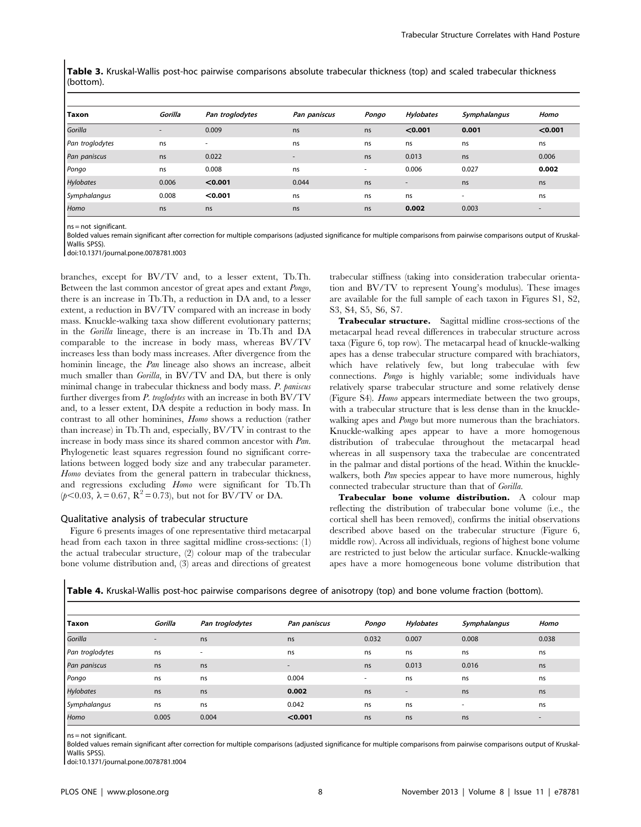Table 3. Kruskal-Wallis post-hoc pairwise comparisons absolute trabecular thickness (top) and scaled trabecular thickness (bottom).

| <b>Taxon</b>    | Gorilla                  | Pan troglodytes          | Pan paniscus             | Pongo | <b>Hylobates</b> | Symphalangus             | Homo                     |
|-----------------|--------------------------|--------------------------|--------------------------|-------|------------------|--------------------------|--------------------------|
| Gorilla         | $\overline{\phantom{a}}$ | 0.009                    | ns                       | ns    | < 0.001          | 0.001                    | < 0.001                  |
| Pan troglodytes | ns                       | $\overline{\phantom{a}}$ | ns                       | ns    | ns               | ns                       | ns                       |
| Pan paniscus    | ns                       | 0.022                    | $\overline{\phantom{a}}$ | ns    | 0.013            | ns                       | 0.006                    |
| Pongo           | ns                       | 0.008                    | ns                       | ۰     | 0.006            | 0.027                    | 0.002                    |
| Hylobates       | 0.006                    | < 0.001                  | 0.044                    | ns    |                  | ns                       | ns                       |
| Symphalangus    | 0.008                    | < 0.001                  | ns                       | ns    | ns               | $\overline{\phantom{a}}$ | ns                       |
| Homo            | ns                       | ns                       | ns                       | ns    | 0.002            | 0.003                    | $\overline{\phantom{a}}$ |

ns = not significant.

Bolded values remain significant after correction for multiple comparisons (adjusted significance for multiple comparisons from pairwise comparisons output of Kruskal-Wallis SPSS).

doi:10.1371/journal.pone.0078781.t003

branches, except for BV/TV and, to a lesser extent, Tb.Th. Between the last common ancestor of great apes and extant Pongo, there is an increase in Tb.Th, a reduction in DA and, to a lesser extent, a reduction in BV/TV compared with an increase in body mass. Knuckle-walking taxa show different evolutionary patterns; in the Gorilla lineage, there is an increase in Tb.Th and DA comparable to the increase in body mass, whereas BV/TV increases less than body mass increases. After divergence from the hominin lineage, the Pan lineage also shows an increase, albeit much smaller than Gorilla, in BV/TV and DA, but there is only minimal change in trabecular thickness and body mass. P. paniscus further diverges from P. troglodytes with an increase in both BV/TV and, to a lesser extent, DA despite a reduction in body mass. In contrast to all other hominines, Homo shows a reduction (rather than increase) in Tb.Th and, especially, BV/TV in contrast to the increase in body mass since its shared common ancestor with Pan. Phylogenetic least squares regression found no significant correlations between logged body size and any trabecular parameter. Homo deviates from the general pattern in trabecular thickness, and regressions excluding Homo were significant for Tb.Th  $(p<0.03, \lambda = 0.67, R^2 = 0.73)$ , but not for BV/TV or DA.

#### Qualitative analysis of trabecular structure

Figure 6 presents images of one representative third metacarpal head from each taxon in three sagittal midline cross-sections: (1) the actual trabecular structure, (2) colour map of the trabecular bone volume distribution and, (3) areas and directions of greatest

trabecular stiffness (taking into consideration trabecular orientation and BV/TV to represent Young's modulus). These images are available for the full sample of each taxon in Figures S1, S2, S3, S4, S5, S6, S7.

Trabecular structure. Sagittal midline cross-sections of the metacarpal head reveal differences in trabecular structure across taxa (Figure 6, top row). The metacarpal head of knuckle-walking apes has a dense trabecular structure compared with brachiators, which have relatively few, but long trabeculae with few connections. Pongo is highly variable; some individuals have relatively sparse trabecular structure and some relatively dense (Figure S4). Homo appears intermediate between the two groups, with a trabecular structure that is less dense than in the knucklewalking apes and *Pongo* but more numerous than the brachiators. Knuckle-walking apes appear to have a more homogenous distribution of trabeculae throughout the metacarpal head whereas in all suspensory taxa the trabeculae are concentrated in the palmar and distal portions of the head. Within the knucklewalkers, both *Pan* species appear to have more numerous, highly connected trabecular structure than that of Gorilla.

Trabecular bone volume distribution. A colour map reflecting the distribution of trabecular bone volume (i.e., the cortical shell has been removed), confirms the initial observations described above based on the trabecular structure (Figure 6, middle row). Across all individuals, regions of highest bone volume are restricted to just below the articular surface. Knuckle-walking apes have a more homogeneous bone volume distribution that

Table 4. Kruskal-Wallis post-hoc pairwise comparisons degree of anisotropy (top) and bone volume fraction (bottom).

| Taxon           | Gorilla | Pan troglodytes          | Pan paniscus             | Pongo                    | <b>Hylobates</b> | Symphalangus             | Homo   |
|-----------------|---------|--------------------------|--------------------------|--------------------------|------------------|--------------------------|--------|
| Gorilla         |         | ns                       | ns                       | 0.032                    | 0.007            | 0.008                    | 0.038  |
| Pan troglodytes | ns      | $\overline{\phantom{a}}$ | ns                       | ns                       | ns               | ns                       | ns     |
| Pan paniscus    | ns      | ns                       | $\overline{\phantom{a}}$ | ns                       | 0.013            | 0.016                    | ns     |
| Pongo           | ns      | ns                       | 0.004                    | $\overline{\phantom{a}}$ | ns               | ns                       | ns     |
| Hylobates       | ns      | ns                       | 0.002                    | ns                       |                  | ns                       | ns     |
| Symphalangus    | ns      | ns                       | 0.042                    | ns                       | ns               | $\overline{\phantom{a}}$ | ns     |
| Homo            | 0.005   | 0.004                    | < 0.001                  | ns                       | ns               | ns                       | $\sim$ |

ns = not significant.

Bolded values remain significant after correction for multiple comparisons (adjusted significance for multiple comparisons from pairwise comparisons output of Kruskal-Wallis SPSS).

doi:10.1371/journal.pone.0078781.t004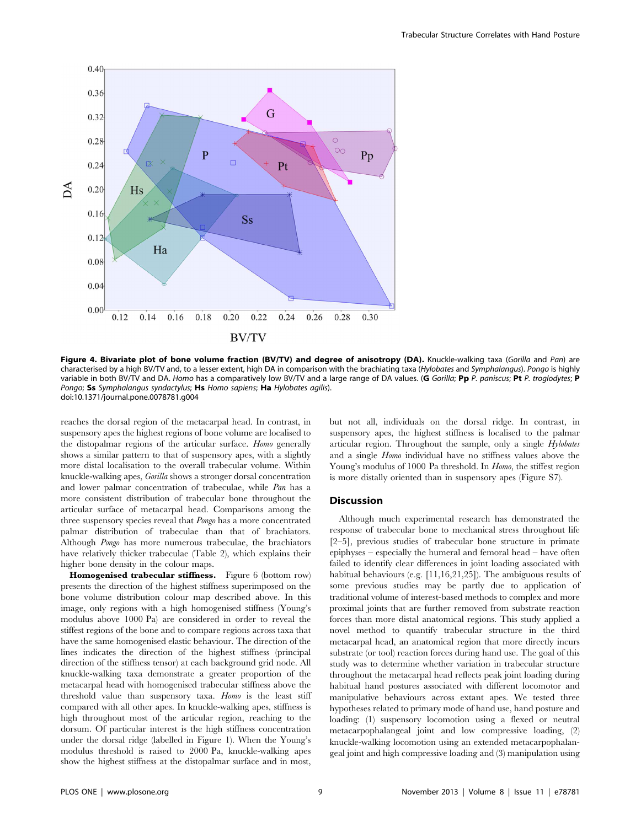

Figure 4. Bivariate plot of bone volume fraction (BV/TV) and degree of anisotropy (DA). Knuckle-walking taxa (Gorilla and Pan) are characterised by a high BV/TV and, to a lesser extent, high DA in comparison with the brachiating taxa (Hylobates and Symphalangus). Pongo is highly variable in both BV/TV and DA. Homo has a comparatively low BV/TV and a large range of DA values. (G Gorilla; Pp P. paniscus; Pt P. troglodytes; P Pongo; Ss Symphalangus syndactylus; Hs Homo sapiens; Ha Hylobates agilis). doi:10.1371/journal.pone.0078781.g004

reaches the dorsal region of the metacarpal head. In contrast, in suspensory apes the highest regions of bone volume are localised to the distopalmar regions of the articular surface. Homo generally shows a similar pattern to that of suspensory apes, with a slightly more distal localisation to the overall trabecular volume. Within knuckle-walking apes, Gorilla shows a stronger dorsal concentration and lower palmar concentration of trabeculae, while Pan has a more consistent distribution of trabecular bone throughout the articular surface of metacarpal head. Comparisons among the three suspensory species reveal that Pongo has a more concentrated palmar distribution of trabeculae than that of brachiators. Although Pongo has more numerous trabeculae, the brachiators have relatively thicker trabeculae (Table 2), which explains their higher bone density in the colour maps.

Homogenised trabecular stiffness. Figure 6 (bottom row) presents the direction of the highest stiffness superimposed on the bone volume distribution colour map described above. In this image, only regions with a high homogenised stiffness (Young's modulus above 1000 Pa) are considered in order to reveal the stiffest regions of the bone and to compare regions across taxa that have the same homogenised elastic behaviour. The direction of the lines indicates the direction of the highest stiffness (principal direction of the stiffness tensor) at each background grid node. All knuckle-walking taxa demonstrate a greater proportion of the metacarpal head with homogenised trabecular stiffness above the threshold value than suspensory taxa. Homo is the least stiff compared with all other apes. In knuckle-walking apes, stiffness is high throughout most of the articular region, reaching to the dorsum. Of particular interest is the high stiffness concentration under the dorsal ridge (labelled in Figure 1). When the Young's modulus threshold is raised to 2000 Pa, knuckle-walking apes show the highest stiffness at the distopalmar surface and in most,

but not all, individuals on the dorsal ridge. In contrast, in suspensory apes, the highest stiffness is localised to the palmar articular region. Throughout the sample, only a single Hylobates and a single Homo individual have no stiffness values above the Young's modulus of 1000 Pa threshold. In Homo, the stiffest region is more distally oriented than in suspensory apes (Figure S7).

#### Discussion

Although much experimental research has demonstrated the response of trabecular bone to mechanical stress throughout life [2–5], previous studies of trabecular bone structure in primate epiphyses – especially the humeral and femoral head – have often failed to identify clear differences in joint loading associated with habitual behaviours (e.g. [11,16,21,25]). The ambiguous results of some previous studies may be partly due to application of traditional volume of interest-based methods to complex and more proximal joints that are further removed from substrate reaction forces than more distal anatomical regions. This study applied a novel method to quantify trabecular structure in the third metacarpal head, an anatomical region that more directly incurs substrate (or tool) reaction forces during hand use. The goal of this study was to determine whether variation in trabecular structure throughout the metacarpal head reflects peak joint loading during habitual hand postures associated with different locomotor and manipulative behaviours across extant apes. We tested three hypotheses related to primary mode of hand use, hand posture and loading: (1) suspensory locomotion using a flexed or neutral metacarpophalangeal joint and low compressive loading, (2) knuckle-walking locomotion using an extended metacarpophalangeal joint and high compressive loading and (3) manipulation using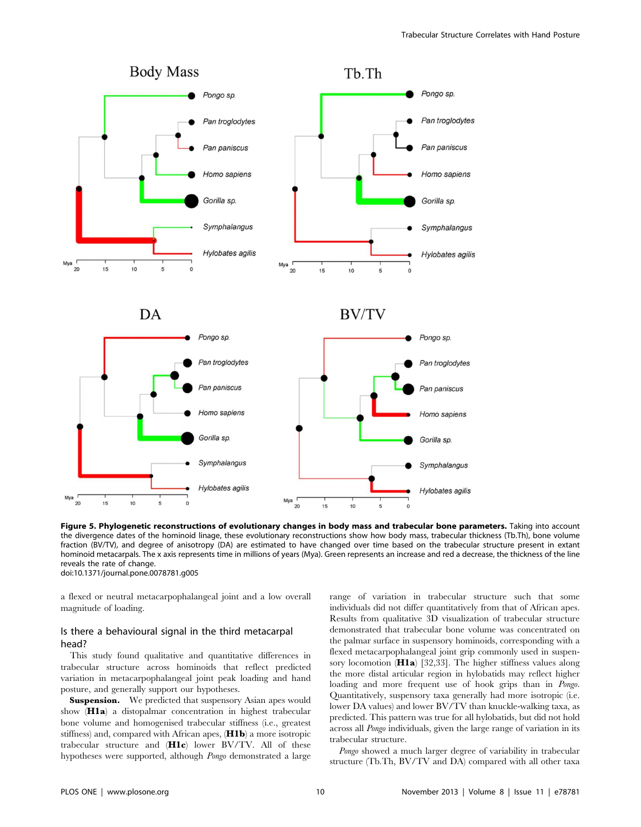

Figure 5. Phylogenetic reconstructions of evolutionary changes in body mass and trabecular bone parameters. Taking into account the divergence dates of the hominoid linage, these evolutionary reconstructions show how body mass, trabecular thickness (Tb.Th), bone volume fraction (BV/TV), and degree of anisotropy (DA) are estimated to have changed over time based on the trabecular structure present in extant hominoid metacarpals. The x axis represents time in millions of years (Mya). Green represents an increase and red a decrease, the thickness of the line reveals the rate of change. doi:10.1371/journal.pone.0078781.g005

a flexed or neutral metacarpophalangeal joint and a low overall

#### Is there a behavioural signal in the third metacarpal head?

This study found qualitative and quantitative differences in trabecular structure across hominoids that reflect predicted variation in metacarpophalangeal joint peak loading and hand posture, and generally support our hypotheses.

**Suspension.** We predicted that suspensory Asian apes would show (H1a) a distopalmar concentration in highest trabecular bone volume and homogenised trabecular stiffness (i.e., greatest stiffness) and, compared with African apes, (H1b) a more isotropic trabecular structure and (H1c) lower BV/TV. All of these hypotheses were supported, although Pongo demonstrated a large

range of variation in trabecular structure such that some individuals did not differ quantitatively from that of African apes. Results from qualitative 3D visualization of trabecular structure demonstrated that trabecular bone volume was concentrated on the palmar surface in suspensory hominoids, corresponding with a flexed metacarpophalangeal joint grip commonly used in suspensory locomotion (**H1a**) [32,33]. The higher stiffness values along the more distal articular region in hylobatids may reflect higher loading and more frequent use of hook grips than in Pongo. Quantitatively, suspensory taxa generally had more isotropic (i.e. lower DA values) and lower BV/TV than knuckle-walking taxa, as predicted. This pattern was true for all hylobatids, but did not hold across all Pongo individuals, given the large range of variation in its trabecular structure.

Pongo showed a much larger degree of variability in trabecular structure (Tb.Th, BV/TV and DA) compared with all other taxa

magnitude of loading.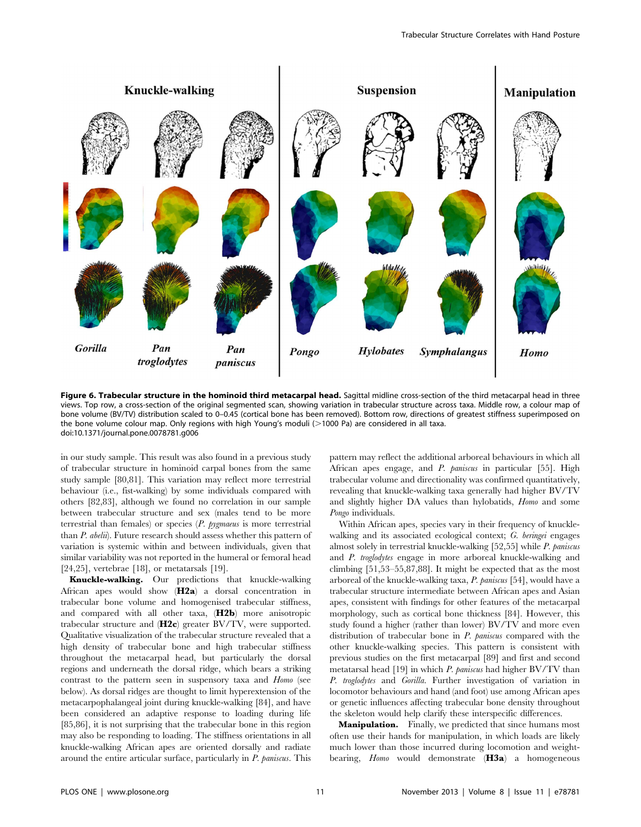

Figure 6. Trabecular structure in the hominoid third metacarpal head. Sagittal midline cross-section of the third metacarpal head in three views. Top row, a cross-section of the original segmented scan, showing variation in trabecular structure across taxa. Middle row, a colour map of bone volume (BV/TV) distribution scaled to 0–0.45 (cortical bone has been removed). Bottom row, directions of greatest stiffness superimposed on the bone volume colour map. Only regions with high Young's moduli ( $>$ 1000 Pa) are considered in all taxa. doi:10.1371/journal.pone.0078781.g006

in our study sample. This result was also found in a previous study of trabecular structure in hominoid carpal bones from the same study sample [80,81]. This variation may reflect more terrestrial behaviour (i.e., fist-walking) by some individuals compared with others [82,83], although we found no correlation in our sample between trabecular structure and sex (males tend to be more terrestrial than females) or species  $(P.~pygmaeus$  is more terrestrial than P. abelii). Future research should assess whether this pattern of variation is systemic within and between individuals, given that similar variability was not reported in the humeral or femoral head [24,25], vertebrae [18], or metatarsals [19].

Knuckle-walking. Our predictions that knuckle-walking African apes would show (H2a) a dorsal concentration in trabecular bone volume and homogenised trabecular stiffness, and compared with all other taxa, (H2b) more anisotropic trabecular structure and (H2c) greater BV/TV, were supported. Qualitative visualization of the trabecular structure revealed that a high density of trabecular bone and high trabecular stiffness throughout the metacarpal head, but particularly the dorsal regions and underneath the dorsal ridge, which bears a striking contrast to the pattern seen in suspensory taxa and Homo (see below). As dorsal ridges are thought to limit hyperextension of the metacarpophalangeal joint during knuckle-walking [84], and have been considered an adaptive response to loading during life [85,86], it is not surprising that the trabecular bone in this region may also be responding to loading. The stiffness orientations in all knuckle-walking African apes are oriented dorsally and radiate around the entire articular surface, particularly in P. paniscus. This pattern may reflect the additional arboreal behaviours in which all African apes engage, and *P. paniscus* in particular [55]. High trabecular volume and directionality was confirmed quantitatively, revealing that knuckle-walking taxa generally had higher BV/TV and slightly higher DA values than hylobatids, Homo and some Pongo individuals.

Within African apes, species vary in their frequency of knucklewalking and its associated ecological context; G. beringei engages almost solely in terrestrial knuckle-walking [52,55] while P. paniscus and P. troglodytes engage in more arboreal knuckle-walking and climbing [51,53–55,87,88]. It might be expected that as the most arboreal of the knuckle-walking taxa, P. paniscus [54], would have a trabecular structure intermediate between African apes and Asian apes, consistent with findings for other features of the metacarpal morphology, such as cortical bone thickness [84]. However, this study found a higher (rather than lower) BV/TV and more even distribution of trabecular bone in *P. paniscus* compared with the other knuckle-walking species. This pattern is consistent with previous studies on the first metacarpal [89] and first and second metatarsal head [19] in which P. paniscus had higher BV/TV than P. troglodytes and Gorilla. Further investigation of variation in locomotor behaviours and hand (and foot) use among African apes or genetic influences affecting trabecular bone density throughout the skeleton would help clarify these interspecific differences.

Manipulation. Finally, we predicted that since humans most often use their hands for manipulation, in which loads are likely much lower than those incurred during locomotion and weightbearing, Homo would demonstrate (H3a) a homogeneous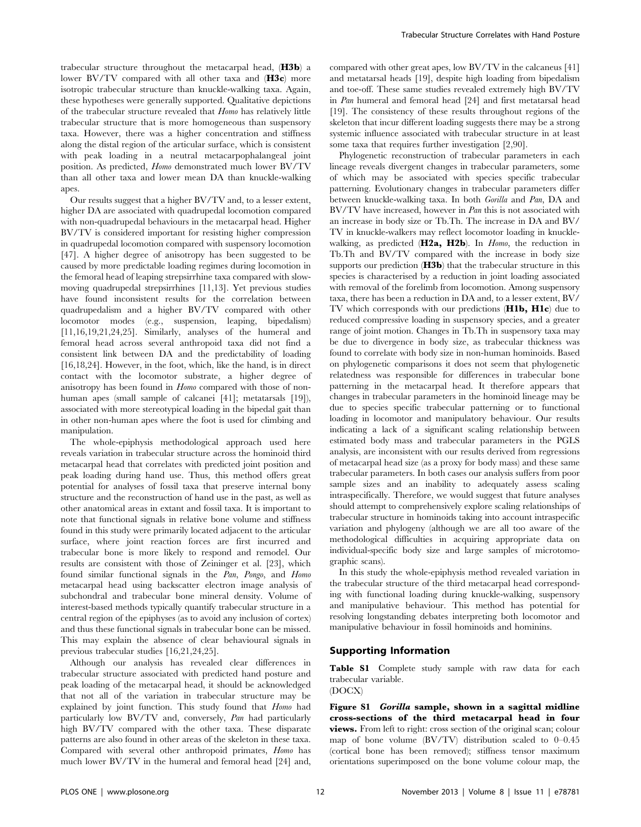trabecular structure throughout the metacarpal head, (H3b) a lower BV/TV compared with all other taxa and (H3c) more isotropic trabecular structure than knuckle-walking taxa. Again, these hypotheses were generally supported. Qualitative depictions of the trabecular structure revealed that Homo has relatively little trabecular structure that is more homogeneous than suspensory taxa. However, there was a higher concentration and stiffness along the distal region of the articular surface, which is consistent with peak loading in a neutral metacarpophalangeal joint position. As predicted, Homo demonstrated much lower BV/TV than all other taxa and lower mean DA than knuckle-walking apes.

Our results suggest that a higher BV/TV and, to a lesser extent, higher DA are associated with quadrupedal locomotion compared with non-quadrupedal behaviours in the metacarpal head. Higher BV/TV is considered important for resisting higher compression in quadrupedal locomotion compared with suspensory locomotion [47]. A higher degree of anisotropy has been suggested to be caused by more predictable loading regimes during locomotion in the femoral head of leaping strepsirrhine taxa compared with slowmoving quadrupedal strepsirrhines [11,13]. Yet previous studies have found inconsistent results for the correlation between quadrupedalism and a higher BV/TV compared with other locomotor modes (e.g., suspension, leaping, bipedalism) [11,16,19,21,24,25]. Similarly, analyses of the humeral and femoral head across several anthropoid taxa did not find a consistent link between DA and the predictability of loading [16,18,24]. However, in the foot, which, like the hand, is in direct contact with the locomotor substrate, a higher degree of anisotropy has been found in Homo compared with those of nonhuman apes (small sample of calcanei [41]; metatarsals [19]), associated with more stereotypical loading in the bipedal gait than in other non-human apes where the foot is used for climbing and manipulation.

The whole-epiphysis methodological approach used here reveals variation in trabecular structure across the hominoid third metacarpal head that correlates with predicted joint position and peak loading during hand use. Thus, this method offers great potential for analyses of fossil taxa that preserve internal bony structure and the reconstruction of hand use in the past, as well as other anatomical areas in extant and fossil taxa. It is important to note that functional signals in relative bone volume and stiffness found in this study were primarily located adjacent to the articular surface, where joint reaction forces are first incurred and trabecular bone is more likely to respond and remodel. Our results are consistent with those of Zeininger et al. [23], which found similar functional signals in the Pan, Pongo, and Homo metacarpal head using backscatter electron image analysis of subchondral and trabecular bone mineral density. Volume of interest-based methods typically quantify trabecular structure in a central region of the epiphyses (as to avoid any inclusion of cortex) and thus these functional signals in trabecular bone can be missed. This may explain the absence of clear behavioural signals in previous trabecular studies [16,21,24,25].

Although our analysis has revealed clear differences in trabecular structure associated with predicted hand posture and peak loading of the metacarpal head, it should be acknowledged that not all of the variation in trabecular structure may be explained by joint function. This study found that Homo had particularly low BV/TV and, conversely, Pan had particularly high BV/TV compared with the other taxa. These disparate patterns are also found in other areas of the skeleton in these taxa. Compared with several other anthropoid primates, Homo has much lower BV/TV in the humeral and femoral head [24] and,

compared with other great apes, low BV/TV in the calcaneus [41] and metatarsal heads [19], despite high loading from bipedalism and toe-off. These same studies revealed extremely high BV/TV in Pan humeral and femoral head [24] and first metatarsal head [19]. The consistency of these results throughout regions of the skeleton that incur different loading suggests there may be a strong systemic influence associated with trabecular structure in at least some taxa that requires further investigation [2,90].

Phylogenetic reconstruction of trabecular parameters in each lineage reveals divergent changes in trabecular parameters, some of which may be associated with species specific trabecular patterning. Evolutionary changes in trabecular parameters differ between knuckle-walking taxa. In both Gorilla and Pan, DA and BV/TV have increased, however in Pan this is not associated with an increase in body size or Tb.Th. The increase in DA and BV/ TV in knuckle-walkers may reflect locomotor loading in knucklewalking, as predicted (H2a, H2b). In Homo, the reduction in Tb.Th and BV/TV compared with the increase in body size supports our prediction (H3b) that the trabecular structure in this species is characterised by a reduction in joint loading associated with removal of the forelimb from locomotion. Among suspensory taxa, there has been a reduction in DA and, to a lesser extent, BV/ TV which corresponds with our predictions (H1b, H1c) due to reduced compressive loading in suspensory species, and a greater range of joint motion. Changes in Tb.Th in suspensory taxa may be due to divergence in body size, as trabecular thickness was found to correlate with body size in non-human hominoids. Based on phylogenetic comparisons it does not seem that phylogenetic relatedness was responsible for differences in trabecular bone patterning in the metacarpal head. It therefore appears that changes in trabecular parameters in the hominoid lineage may be due to species specific trabecular patterning or to functional loading in locomotor and manipulatory behaviour. Our results indicating a lack of a significant scaling relationship between estimated body mass and trabecular parameters in the PGLS analysis, are inconsistent with our results derived from regressions of metacarpal head size (as a proxy for body mass) and these same trabecular parameters. In both cases our analysis suffers from poor sample sizes and an inability to adequately assess scaling intraspecifically. Therefore, we would suggest that future analyses should attempt to comprehensively explore scaling relationships of trabecular structure in hominoids taking into account intraspecific variation and phylogeny (although we are all too aware of the methodological difficulties in acquiring appropriate data on individual-specific body size and large samples of microtomographic scans).

In this study the whole-epiphysis method revealed variation in the trabecular structure of the third metacarpal head corresponding with functional loading during knuckle-walking, suspensory and manipulative behaviour. This method has potential for resolving longstanding debates interpreting both locomotor and manipulative behaviour in fossil hominoids and hominins.

#### Supporting Information

Table S1 Complete study sample with raw data for each trabecular variable. (DOCX)

Figure S1 Gorilla sample, shown in a sagittal midline cross-sections of the third metacarpal head in four views. From left to right: cross section of the original scan; colour map of bone volume (BV/TV) distribution scaled to 0–0.45 (cortical bone has been removed); stiffness tensor maximum orientations superimposed on the bone volume colour map, the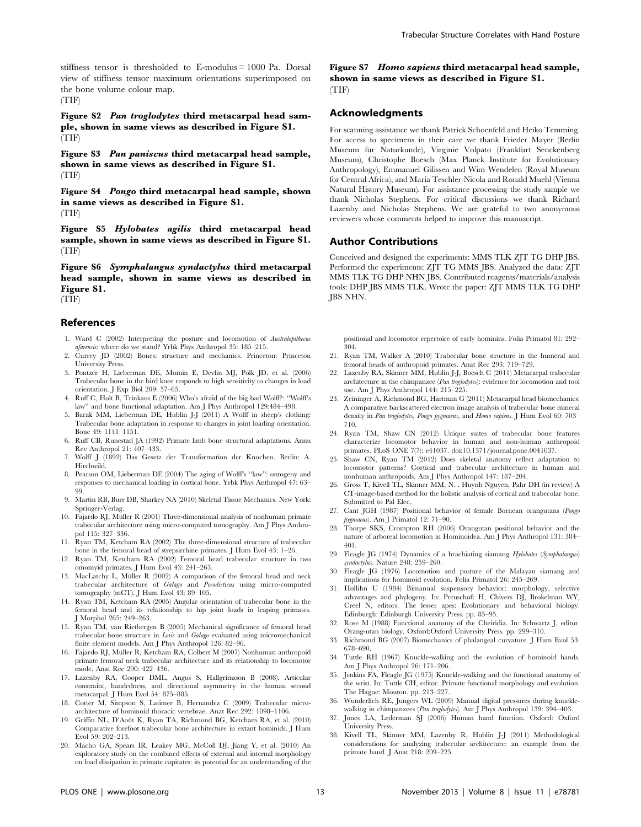stiffness tensor is thresholded to E-modulus = 1000 Pa. Dorsal view of stiffness tensor maximum orientations superimposed on the bone volume colour map. (TIF)

Figure S2 Pan troglodytes third metacarpal head sample, shown in same views as described in Figure S1. (TIF)

Figure S3 Pan paniscus third metacarpal head sample, shown in same views as described in Figure S1. (TIF)

Figure S4 Pongo third metacarpal head sample, shown in same views as described in Figure S1. (TIF)

Figure S5 Hylobates agilis third metacarpal head sample, shown in same views as described in Figure S1. (TIF)

Figure S6 Symphalangus syndactylus third metacarpal head sample, shown in same views as described in Figure S1.

(TIF)

#### References

- 1. Ward C (2002) Interpreting the posture and locomotion of Australopithecus afarensis: where do we stand? Yrbk Phys Anthropol 35: 185-215.
- 2. Currey JD (2002) Bones: structure and mechanics. Princeton: Princeton University Press.
- 3. Pontzer H, Lieberman DE, Momin E, Devlin MJ, Polk JD, et al. (2006) Trabecular bone in the bird knee responds to high sensitivity to changes in load orientation. J Exp Biol 209: 57–65.
- 4. Ruff C, Holt B, Trinkaus E (2006) Who's afraid of the big bad Wolff?: ''Wolff's law'' and bone functional adaptation. Am J Phys Anthropol 129:484–498.
- 5. Barak MM, Lieberman DE, Hublin J-J (2011) A Wolff in sheep's clothing: Trabecular bone adaptation in response to changes in joint loading orientation. Bone 49: 1141–1151.
- 6. Ruff CB, Runestad JA (1992) Primate limb bone structural adaptations. Annu Rev Anthropol 21: 407–433.
- 7. Wolff J (1892) Das Gesetz der Transformation der Knochen. Berlin: A. Hirchwild.
- 8. Pearson OM, Lieberman DE (2004) The aging of Wolff's ''law'': ontogeny and responses to mechanical loading in cortical bone. Yrbk Phys Anthropol 47: 63– 99.
- 9. Martin RB, Burr DB, Sharkey NA (2010) Skeletal Tissue Mechanics. New York: Springer-Verlag.
- 10. Fajardo RJ, Müller R (2001) Three-dimensional analysis of nonhuman primate trabecular architecture using micro-computed tomography. Am J Phys Anthropol 115: 327–336.
- 11. Ryan TM, Ketcham RA (2002) The three-dimensional structure of trabecular bone in the femoral head of strepsirrhine primates. J Hum Evol 43: 1–26.
- 12. Ryan TM, Ketcham RA (2002) Femoral head trabecular structure in two omomyid primates. J Hum Evol 43: 241–263.
- 13. MacLatchy L, Müller R (2002) A comparison of the femoral head and neck trabecular architecture of Galago and Perodicticus using micro-computed tomography (mCT). J Hum Evol 43: 89–105.
- 14. Ryan TM, Ketcham RA (2005) Angular orientation of trabecular bone in the femoral head and its relationship to hip joint loads in leaping primates. J Morphol 265: 249–263.
- 15. Ryan TM, van Rietbergen B (2005) Mechanical significance of femoral head trabecular bone structure in Loris and Galago evaluated using micromechanical finite element models. Am J Phys Anthropol 126: 82–96.
- 16. Fajardo RJ, Müller R, Ketcham RA, Colbert M (2007) Nonhuman anthropoid primate femoral neck trabecular architecture and its relationship to locomotor mode. Anat Rec 290: 422–436.
- 17. Lazenby RA, Cooper DML, Angus S, Hallgrímsson B (2008). Articular constraint, handedness, and directional asymmetry in the human second metacarpal. J Hum Evol 54: 875–885.
- 18. Cotter M, Simpson S, Latimer B, Hernandez C (2009) Trabecular microarchitecture of hominoid thoracic vertebrae. Anat Rec 292: 1098–1106.
- 19. Griffin NL, D'Août K, Ryan TA, Richmond BG, Ketcham RA, et al. (2010) Comparative forefoot trabecular bone architecture in extant hominids. J Hum Evol 59: 202–213.
- 20. Macho GA, Spears IR, Leakey MG, McColl DJ, Jiang Y, et al. (2010) An exploratory study on the combined effects of external and internal morphology on load dissipation in primate capitates: its potential for an understanding of the

Figure S7 Homo sapiens third metacarpal head sample, shown in same views as described in Figure S1.  $(TIF)$ 

#### Acknowledgments

For scanning assistance we thank Patrick Schoenfeld and Heiko Temming. For access to specimens in their care we thank Frieder Mayer (Berlin Museum für Naturkunde), Virginie Volpato (Frankfurt Senckenberg Museum), Christophe Boesch (Max Planck Institute for Evolutionary Anthropology), Emmanuel Gilissen and Wim Wendelen (Royal Museum for Central Africa), and Maria Teschler-Nicola and Ronald Muehl (Vienna Natural History Museum). For assistance processing the study sample we thank Nicholas Stephens. For critical discussions we thank Richard Lazenby and Nicholas Stephens. We are grateful to two anonymous reviewers whose comments helped to improve this manuscript.

#### Author Contributions

Conceived and designed the experiments: MMS TLK ZJT TG DHP JBS. Performed the experiments: ZJT TG MMS JBS. Analyzed the data: ZJT MMS TLK TG DHP NHN JBS. Contributed reagents/materials/analysis tools: DHP JBS MMS TLK. Wrote the paper: ZJT MMS TLK TG DHP JBS NHN.

positional and locomotor repertoire of early hominins. Folia Primatol 81: 292– 304.

- 21. Ryan TM, Walker A (2010) Trabecular bone structure in the humeral and femoral heads of anthropoid primates. Anat Rec 293: 719–729.
- 22. Lazenby RA, Skinner MM, Hublin J-J, Boesch C (2011) Metacarpal trabecular architecture in the chimpanzee (Pan troglodytes): evidence for locomotion and tool use. Am J Phys Anthropol 144: 215–225.
- 23. Zeininger A, Richmond BG, Hartman G (2011) Metacarpal head biomechanics: A comparative backscattered electron image analysis of trabecular bone mineral density in Pan troglodytes, Pongo pygmaeus, and Homo sapiens. J Hum Evol 60: 703-710.
- 24. Ryan TM, Shaw CN (2012) Unique suites of trabecular bone features characterize locomotor behavior in human and non-human anthropoid primates. PLoS ONE 7(7): e41037. doi:10.1371/journal.pone.0041037.
- 25. Shaw CN, Ryan TM (2012) Does skeletal anatomy reflect adaptation to locomotor patterns? Cortical and trabecular architecture in human and nonhuman anthropoids. Am J Phys Anthropol 147: 187–204.
- 26. Gross T, Kivell TL, Skinner MM, N. . Huynh Nguyen, Pahr DH (in review) A CT-image-based method for the holistic analysis of cortical and trabecular bone. Submitted to Pal Elec.
- 27. Cant JGH (1987) Positional behavior of female Bornean orangutans (Pongo pygmaeus). Am J Primatol 12: 71–90.
- 28. Thorpe SKS, Crompton RH (2006) Orangutan positional behavior and the nature of arboreal locomotion in Hominoidea. Am J Phys Anthropol 131: 384– 401.
- 29. Fleagle JG (1974) Dynamics of a brachiating siamang Hylobates (Symphalangus) syndactylus. Nature 248: 259–260.
- 30. Fleagle JG (1976) Locomotion and posture of the Malayan siamang and implications for hominoid evolution. Folia Primatol 26: 245–269.
- 31. Hollihn U (1984) Bimanual suspensory behavior: morphology, selective advantages and phylogeny. In: Preuschoft H, Chivers DJ, Brokelman WY, Creel N, editors. The lesser apes: Evolutionary and behavioral biology. Edinburgh: Edinburgh University Press. pp. 85–95.
- 32. Rose M (1988) Functional anatomy of the Cheiridia. In: Schwartz J, editor. Orang-utan biology. Oxford:Oxford University Press. pp. 299–310.
- 33. Richmond BG (2007) Biomechanics of phalangeal curvature. J Hum Evol 53: 678–690.
- 34. Tuttle RH (1967) Knuckle-walking and the evolution of hominoid hands. Am J Phys Anthropol 26: 171–206.
- 35. Jenkins FA, Fleagle JG (1975) Knuckle-walking and the functional anatomy of the wrist. In: Tuttle CH, editor. Primate functional morphology and evolution. The Hague: Mouton. pp. 213–227.
- 36. Wunderlich RE, Jungers WL (2009) Manual digital pressures during knucklewalking in chimpanzees (Pan troglodytes). Am J Phys Anthropol 139: 394–403.
- 37. Jones LA, Lederman SJ (2006) Human hand function. Oxford: Oxford University Press.
- 38. Kivell TL, Skinner MM, Lazenby R, Hublin J-J (2011) Methodological considerations for analyzing trabecular architecture: an example from the primate hand. J Anat 218: 209–225.